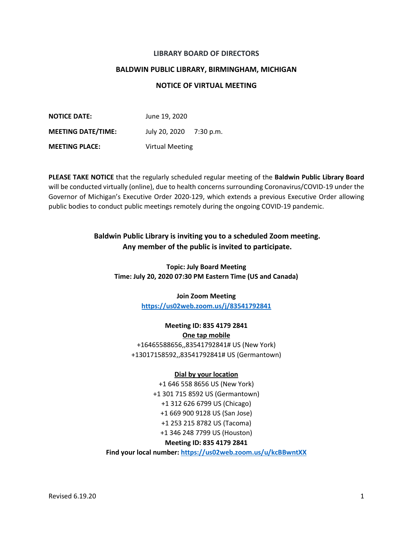### **LIBRARY BOARD OF DIRECTORS**

### **BALDWIN PUBLIC LIBRARY, BIRMINGHAM, MICHIGAN**

## **NOTICE OF VIRTUAL MEETING**

**NOTICE DATE:** June 19, 2020 **MEETING DATE/TIME:** July 20, 2020 7:30 p.m. **MEETING PLACE:** Virtual Meeting

**PLEASE TAKE NOTICE** that the regularly scheduled regular meeting of the **Baldwin Public Library Board** will be conducted virtually (online), due to health concerns surrounding Coronavirus/COVID-19 under the Governor of Michigan's Executive Order 2020-129, which extends a previous Executive Order allowing public bodies to conduct public meetings remotely during the ongoing COVID-19 pandemic.

# **Baldwin Public Library is inviting you to a scheduled Zoom meeting. Any member of the public is invited to participate.**

**Topic: July Board Meeting Time: July 20, 2020 07:30 PM Eastern Time (US and Canada)**

> **Join Zoom Meeting <https://us02web.zoom.us/j/83541792841>**

**Meeting ID: 835 4179 2841 One tap mobile** +16465588656,,83541792841# US (New York) +13017158592,,83541792841# US (Germantown)

#### **Dial by your location**

+1 646 558 8656 US (New York) +1 301 715 8592 US (Germantown) +1 312 626 6799 US (Chicago) +1 669 900 9128 US (San Jose) +1 253 215 8782 US (Tacoma) +1 346 248 7799 US (Houston)

## **Meeting ID: 835 4179 2841**

**Find your local number:<https://us02web.zoom.us/u/kcBBwntXX>**